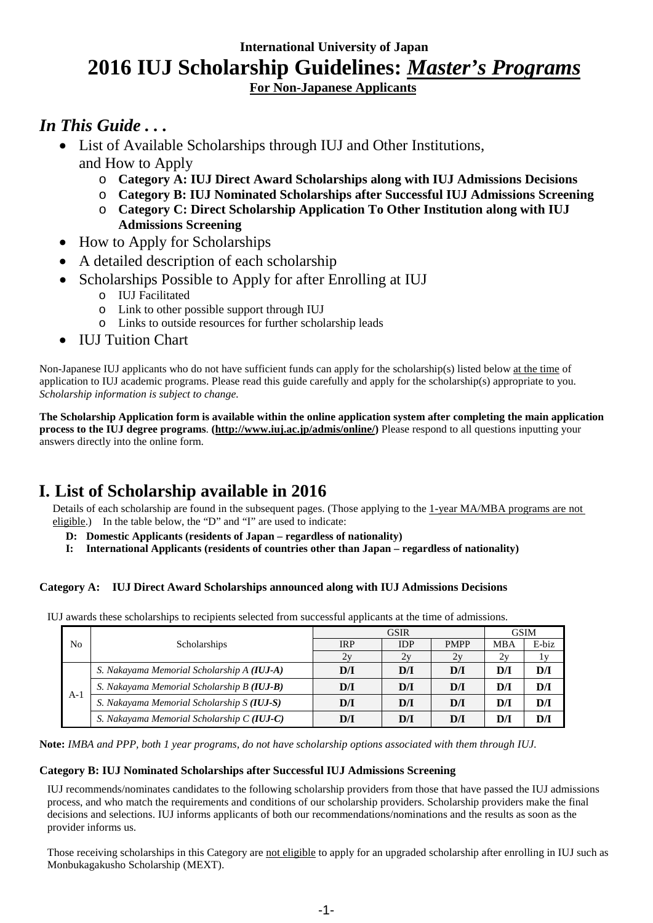## **International University of Japan 2016 IUJ Scholarship Guidelines:** *Master's Programs* **For Non-Japanese Applicants**

## *In This Guide . . .*

- List of Available Scholarships through IUJ and Other Institutions, and How to Apply
	- o **Category A: IUJ Direct Award Scholarships along with IUJ Admissions Decisions**
	- o **Category B: IUJ Nominated Scholarships after Successful IUJ Admissions Screening**
	- o **Category C: Direct Scholarship Application To Other Institution along with IUJ Admissions Screening**
- How to Apply for Scholarships
- A detailed description of each scholarship
- Scholarships Possible to Apply for after Enrolling at IUJ
	- o IUJ Facilitated
	- o Link to other possible support through IUJ
	- o Links to outside resources for further scholarship leads
- **IUJ Tuition Chart**

Non-Japanese IUJ applicants who do not have sufficient funds can apply for the scholarship(s) listed below at the time of application to IUJ academic programs. Please read this guide carefully and apply for the scholarship(s) appropriate to you. *Scholarship information is subject to change.*

**The Scholarship Application form is available within the online application system after completing the main application process to the IUJ degree programs**. **[\(http://www.iuj.ac.jp/admis/online/\)](http://www.iuj.ac.jp/admis/online/)** Please respond to all questions inputting your answers directly into the online form.

## **I. List of Scholarship available in 2016**

Details of each scholarship are found in the subsequent pages. (Those applying to the 1-year MA/MBA programs are not eligible.) In the table below, the "D" and "I" are used to indicate:

- **D: Domestic Applicants (residents of Japan – regardless of nationality)**
- **I: International Applicants (residents of countries other than Japan – regardless of nationality)**

## **Category A: IUJ Direct Award Scholarships announced along with IUJ Admissions Decisions**

IUJ awards these scholarships to recipients selected from successful applicants at the time of admissions.

|       |                                            | <b>GSIR</b> |            |             | <b>GSIM</b> |       |
|-------|--------------------------------------------|-------------|------------|-------------|-------------|-------|
| No    | Scholarships                               | <b>IRP</b>  | <b>IDP</b> | <b>PMPP</b> | MBA         | E-biz |
|       |                                            | 2y          | 2v         | 2y          | 2y          |       |
| $A-1$ | S. Nakayama Memorial Scholarship A (IUJ-A) | D/I         | D/I        | D/I         | DЛ          | D/I   |
|       | S. Nakayama Memorial Scholarship B (IUJ-B) | D/I         | D/I        | D/I         | D/I         | D/I   |
|       | S. Nakayama Memorial Scholarship S (IUJ-S) | D/I         | D/I        | D/I         | D/I         | D/I   |
|       | S. Nakayama Memorial Scholarship C (IUJ-C) | DЛ          | D/I        | D/I         | DЛ          | D/I   |

**Note:** *IMBA and PPP, both 1 year programs, do not have scholarship options associated with them through IUJ.*

### **Category B: IUJ Nominated Scholarships after Successful IUJ Admissions Screening**

IUJ recommends/nominates candidates to the following scholarship providers from those that have passed the IUJ admissions process, and who match the requirements and conditions of our scholarship providers. Scholarship providers make the final decisions and selections. IUJ informs applicants of both our recommendations/nominations and the results as soon as the provider informs us.

Those receiving scholarships in this Category are not eligible to apply for an upgraded scholarship after enrolling in IUJ such as Monbukagakusho Scholarship (MEXT).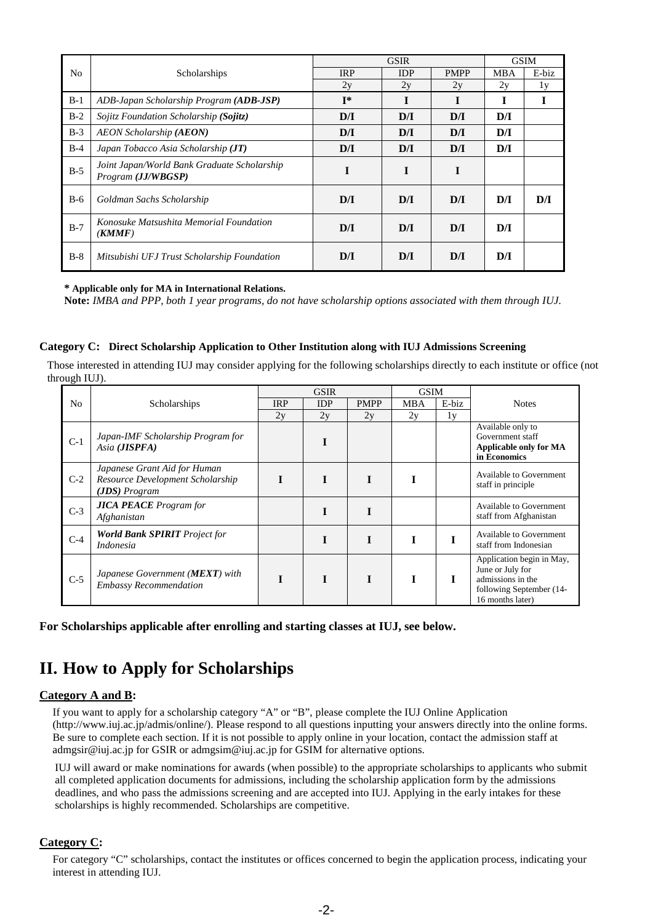|                |                                                                   |                         | <b>GSIR</b> |             |            | <b>GSIM</b> |
|----------------|-------------------------------------------------------------------|-------------------------|-------------|-------------|------------|-------------|
| N <sub>o</sub> | Scholarships                                                      | <b>IRP</b>              | <b>IDP</b>  | <b>PMPP</b> | <b>MBA</b> | E-biz       |
|                |                                                                   | 2y                      | 2y          | 2y          | 2y         | 1y          |
| $B-1$          | ADB-Japan Scholarship Program (ADB-JSP)                           | $I^*$                   |             | I           |            |             |
| $B-2$          | Sojitz Foundation Scholarship (Sojitz)                            | D/I                     | D/I         | D/I         | D/I        |             |
| $B-3$          | <b>AEON Scholarship (AEON)</b>                                    | D/I                     | D/I         | D/I         | D/I        |             |
| $B-4$          | Japan Tobacco Asia Scholarship (JT)                               | $\mathbf{D}/\mathbf{I}$ | D/I         | D/I         | D/I        |             |
| $B-5$          | Joint Japan/World Bank Graduate Scholarship<br>Program (JJ/WBGSP) | I                       | I           | I           |            |             |
| $B-6$          | Goldman Sachs Scholarship                                         | D/I                     | D/I         | D/I         | D/I        | D/I         |
| $B-7$          | Konosuke Matsushita Memorial Foundation<br>(KMMF)                 | D/I                     | D/I         | D/I         | D/I        |             |
| $B-8$          | Mitsubishi UFJ Trust Scholarship Foundation                       | D/I                     | D/I         | D/I         | D/I        |             |

#### **\* Applicable only for MA in International Relations.**

**Note:** *IMBA and PPP, both 1 year programs, do not have scholarship options associated with them through IUJ.*

#### **Category C: Direct Scholarship Application to Other Institution along with IUJ Admissions Screening**

Those interested in attending IUJ may consider applying for the following scholarships directly to each institute or office (not through IUJ).

|                |                                                                                     | <b>GSIR</b> |            | <b>GSIM</b> |            |       |                                                                                                                    |
|----------------|-------------------------------------------------------------------------------------|-------------|------------|-------------|------------|-------|--------------------------------------------------------------------------------------------------------------------|
| N <sub>0</sub> | Scholarships                                                                        | <b>IRP</b>  | <b>IDP</b> | <b>PMPP</b> | <b>MBA</b> | E-biz | <b>Notes</b>                                                                                                       |
|                |                                                                                     | 2y          | 2y         | 2y          | 2y         | 1y    |                                                                                                                    |
| $C-1$          | Japan-IMF Scholarship Program for<br>Asia ( <b>JISPFA</b> )                         |             |            |             |            |       | Available only to<br>Government staff<br>Applicable only for MA<br>in Economics                                    |
| $C-2$          | Japanese Grant Aid for Human<br>Resource Development Scholarship<br>$(JDS)$ Program |             |            | I           |            |       | <b>Available to Government</b><br>staff in principle                                                               |
| $C-3$          | <b>JICA PEACE</b> Program for<br>Afghanistan                                        |             |            | I           |            |       | <b>Available to Government</b><br>staff from Afghanistan                                                           |
| $C-4$          | <b>World Bank SPIRIT</b> Project for<br>Indonesia                                   |             |            | T           |            |       | Available to Government<br>staff from Indonesian                                                                   |
| $C-5$          | Japanese Government (MEXT) with<br><b>Embassy Recommendation</b>                    |             |            | I           |            |       | Application begin in May,<br>June or July for<br>admissions in the<br>following September (14-<br>16 months later) |

**For Scholarships applicable after enrolling and starting classes at IUJ, see below.**

## **II. How to Apply for Scholarships**

#### **Category A and B:**

If you want to apply for a scholarship category "A" or "B", please complete the IUJ Online Application (http://www.iuj.ac.jp/admis/online/). Please respond to all questions inputting your answers directly into the online forms. Be sure to complete each section. If it is not possible to apply online in your location, contact the admission staff at admgsir@iuj.ac.jp for GSIR or admgsim@iuj.ac.jp for GSIM for alternative options.

IUJ will award or make nominations for awards (when possible) to the appropriate scholarships to applicants who submit all completed application documents for admissions, including the scholarship application form by the admissions deadlines, and who pass the admissions screening and are accepted into IUJ. Applying in the early intakes for these scholarships is highly recommended. Scholarships are competitive.

#### **Category C:**

For category "C" scholarships, contact the institutes or offices concerned to begin the application process, indicating your interest in attending IUJ.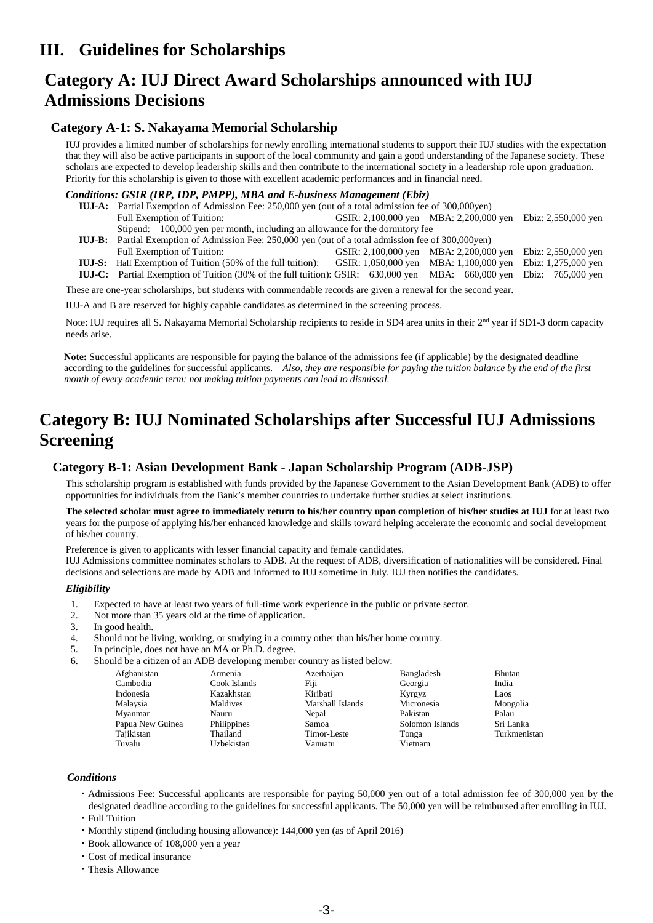## **III. Guidelines for Scholarships**

## **Category A: IUJ Direct Award Scholarships announced with IUJ Admissions Decisions**

### **Category A-1: S. Nakayama Memorial Scholarship**

IUJ provides a limited number of scholarships for newly enrolling international students to support their IUJ studies with the expectation that they will also be active participants in support of the local community and gain a good understanding of the Japanese society. These scholars are expected to develop leadership skills and then contribute to the international society in a leadership role upon graduation. Priority for this scholarship is given to those with excellent academic performances and in financial need.

#### *Conditions: GSIR (IRP, IDP, PMPP), MBA and E-business Management (Ebiz)*

- **IUJ-A:** Partial Exemption of Admission Fee: 250,000 yen (out of a total admission fee of 300,000yen) Full Exemption of Tuition: GSIR: 2,100,000 yen MBA: 2,200,000 yen Ebiz: 2,550,000 yen Stipend: 100,000 yen per month, including an allowance for the dormitory fee
- **IUJ-B:** Partial Exemption of Admission Fee: 250,000 yen (out of a total admission fee of 300,000yen)

| <b>100 D.</b> Turnar Exemption of Familianon Fee. 250,000 year (out of a total admission fee of 500,000 year)              |  |                                                            |  |  |
|----------------------------------------------------------------------------------------------------------------------------|--|------------------------------------------------------------|--|--|
| Full Exemption of Tuition:                                                                                                 |  | GSIR: 2,100,000 yen MBA: 2,200,000 yen Ebiz: 2,550,000 yen |  |  |
| <b>IUJ-S:</b> Half Exemption of Tuition (50% of the full tuition):                                                         |  | GSIR: 1,050,000 yen MBA: 1,100,000 yen Ebiz: 1,275,000 yen |  |  |
| <b>IUJ-C:</b> Partial Exemption of Tuition (30% of the full tuition): GSIR: 630,000 yen MBA: 660,000 yen Ebiz: 765,000 yen |  |                                                            |  |  |

These are one-year scholarships, but students with commendable records are given a renewal for the second year.

IUJ-A and B are reserved for highly capable candidates as determined in the screening process.

Note: IUJ requires all S. Nakayama Memorial Scholarship recipients to reside in SD4 area units in their 2<sup>nd</sup> year if SD1-3 dorm capacity needs arise.

**Note:** Successful applicants are responsible for paying the balance of the admissions fee (if applicable) by the designated deadline according to the guidelines for successful applicants. *Also, they are responsible for paying the tuition balance by the end of the first month of every academic term: not making tuition payments can lead to dismissal.*

## **Category B: IUJ Nominated Scholarships after Successful IUJ Admissions Screening**

## **Category B-1: Asian Development Bank - Japan Scholarship Program (ADB-JSP)**

This scholarship program is established with funds provided by the Japanese Government to the Asian Development Bank (ADB) to offer opportunities for individuals from the Bank's member countries to undertake further studies at select institutions.

**The selected scholar must agree to immediately return to his/her country upon completion of his/her studies at IUJ** for at least two years for the purpose of applying his/her enhanced knowledge and skills toward helping accelerate the economic and social development of his/her country.

Preference is given to applicants with lesser financial capacity and female candidates.

IUJ Admissions committee nominates scholars to ADB. At the request of ADB, diversification of nationalities will be considered. Final decisions and selections are made by ADB and informed to IUJ sometime in July. IUJ then notifies the candidates.

#### *Eligibility*

- 1. Expected to have at least two years of full-time work experience in the public or private sector.
- 2. Not more than 35 years old at the time of application.
- 3. In good health.
- 4. Should not be living, working, or studying in a country other than his/her home country.
- 5. In principle, does not have an MA or Ph.D. degree.
- 6. Should be a citizen of an ADB developing member country as listed below:

| Afghanistan      | Armenia      | Azerbaijan       | Bangladesh      | <b>Bhutan</b> |
|------------------|--------------|------------------|-----------------|---------------|
| Cambodia         | Cook Islands | Fiji             | Georgia         | India         |
| Indonesia        | Kazakhstan   | Kiribati         | Kyrgyz          | Laos          |
| Malaysia         | Maldives     | Marshall Islands | Micronesia      | Mongolia      |
| Myanmar          | Nauru        | Nepal            | Pakistan        | Palau         |
| Papua New Guinea | Philippines  | Samoa            | Solomon Islands | Sri Lanka     |
| Tajikistan       | Thailand     | Timor-Leste      | Tonga           | Turkmenistan  |
| Tuvalu           | Uzbekistan   | Vanuatu          | Vietnam         |               |
|                  |              |                  |                 |               |

#### *Conditions*

- ・Admissions Fee: Successful applicants are responsible for paying 50,000 yen out of a total admission fee of 300,000 yen by the designated deadline according to the guidelines for successful applicants. The 50,000 yen will be reimbursed after enrolling in IUJ.
- ・Full Tuition
- ・Monthly stipend (including housing allowance): 144,000 yen (as of April 2016)
- ・Book allowance of 108,000 yen a year
- ・Cost of medical insurance
- ・Thesis Allowance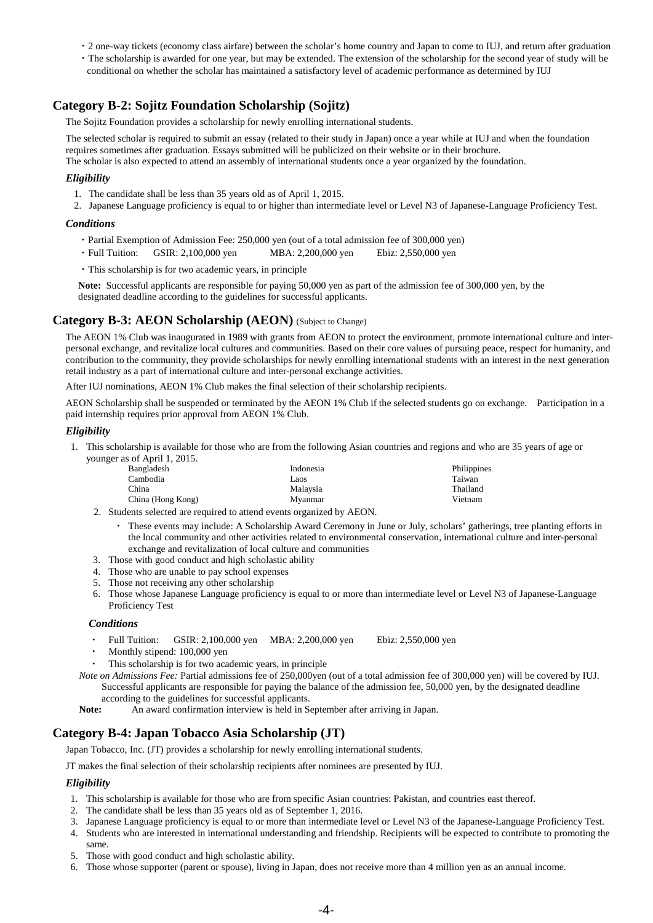- ・2 one-way tickets (economy class airfare) between the scholar's home country and Japan to come to IUJ, and return after graduation
- ・The scholarship is awarded for one year, but may be extended. The extension of the scholarship for the second year of study will be conditional on whether the scholar has maintained a satisfactory level of academic performance as determined by IUJ

## **Category B-2: Sojitz Foundation Scholarship (Sojitz)**

The Sojitz Foundation provides a scholarship for newly enrolling international students.

The selected scholar is required to submit an essay (related to their study in Japan) once a year while at IUJ and when the foundation requires sometimes after graduation. Essays submitted will be publicized on their website or in their brochure. The scholar is also expected to attend an assembly of international students once a year organized by the foundation.

#### *Eligibility*

- 1. The candidate shall be less than 35 years old as of April 1, 2015.
- 2. Japanese Language proficiency is equal to or higher than intermediate level or Level N3 of Japanese-Language Proficiency Test.

#### *Conditions*

- ・Partial Exemption of Admission Fee: 250,000 yen (out of a total admission fee of 300,000 yen)
- ・Full Tuition: GSIR: 2,100,000 yen MBA: 2,200,000 yen Ebiz: 2,550,000 yen
- ・This scholarship is for two academic years, in principle

**Note:** Successful applicants are responsible for paying 50,000 yen as part of the admission fee of 300,000 yen, by the designated deadline according to the guidelines for successful applicants.

### **Category B-3: AEON Scholarship (AEON)** (Subject to Change)

The AEON 1% Club was inaugurated in 1989 with grants from AEON to protect the environment, promote international culture and interpersonal exchange, and revitalize local cultures and communities. Based on their core values of pursuing peace, respect for humanity, and contribution to the community, they provide scholarships for newly enrolling international students with an interest in the next generation retail industry as a part of international culture and inter-personal exchange activities.

After IUJ nominations, AEON 1% Club makes the final selection of their scholarship recipients.

AEON Scholarship shall be suspended or terminated by the AEON 1% Club if the selected students go on exchange. Participation in a paid internship requires prior approval from AEON 1% Club.

#### *Eligibility*

1. This scholarship is available for those who are from the following Asian countries and regions and who are 35 years of age or younger as of April 1, 2015.

| Bangladesh        | Indonesia | Philippines |
|-------------------|-----------|-------------|
| Cambodia          | Laos      | Taiwan      |
| China             | Malaysia  | Thailand    |
| China (Hong Kong) | Mvanmar   | Vietnam     |

- 2. Students selected are required to attend events organized by AEON.
	- These events may include: A Scholarship Award Ceremony in June or July, scholars' gatherings, tree planting efforts in the local community and other activities related to environmental conservation, international culture and inter-personal exchange and revitalization of local culture and communities
- 3. Those with good conduct and high scholastic ability
- 4. Those who are unable to pay school expenses
- 5. Those not receiving any other scholarship
- 6. Those whose Japanese Language proficiency is equal to or more than intermediate level or Level N3 of Japanese-Language Proficiency Test

#### *Conditions*

- Full Tuition: GSIR: 2,100,000 yen MBA: 2,200,000 yen Ebiz: 2,550,000 yen
- Monthly stipend: 100,000 yen
- This scholarship is for two academic years, in principle

*Note on Admissions Fee:* Partial admissions fee of 250,000yen (out of a total admission fee of 300,000 yen) will be covered by IUJ. Successful applicants are responsible for paying the balance of the admission fee, 50,000 yen, by the designated deadline according to the guidelines for successful applicants.

**Note:** An award confirmation interview is held in September after arriving in Japan.

### **Category B-4: Japan Tobacco Asia Scholarship (JT)**

Japan Tobacco, Inc. (JT) provides a scholarship for newly enrolling international students.

JT makes the final selection of their scholarship recipients after nominees are presented by IUJ.

#### *Eligibility*

- 1. This scholarship is available for those who are from specific Asian countries: Pakistan, and countries east thereof.
- 2. The candidate shall be less than 35 years old as of September 1, 2016.
- 3. Japanese Language proficiency is equal to or more than intermediate level or Level N3 of the Japanese-Language Proficiency Test.
- 4. Students who are interested in international understanding and friendship. Recipients will be expected to contribute to promoting the same.
- 5. Those with good conduct and high scholastic ability.
- 6. Those whose supporter (parent or spouse), living in Japan, does not receive more than 4 million yen as an annual income.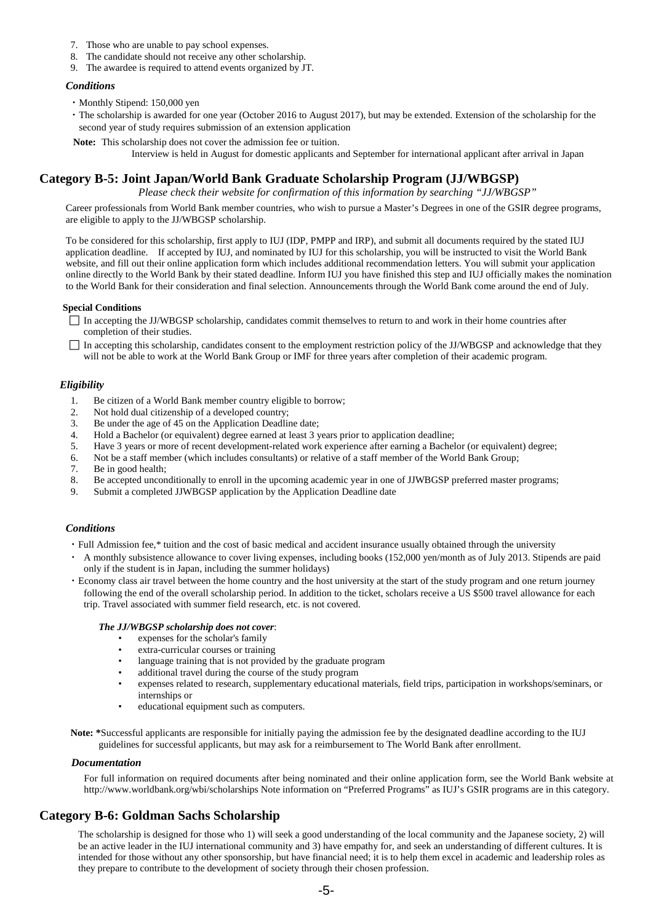- 7. Those who are unable to pay school expenses.
- 8. The candidate should not receive any other scholarship.
- 9. The awardee is required to attend events organized by JT.

#### *Conditions*

- ・Monthly Stipend: 150,000 yen
- ・The scholarship is awarded for one year (October 2016 to August 2017), but may be extended. Extension of the scholarship for the second year of study requires submission of an extension application
- **Note:** This scholarship does not cover the admission fee or tuition.

Interview is held in August for domestic applicants and September for international applicant after arrival in Japan

### **Category B-5: Joint Japan/World Bank Graduate Scholarship Program (JJ/WBGSP)**

*Please check their website for confirmation of this information by searching "JJ/WBGSP"*

Career professionals from World Bank member countries, who wish to pursue a Master's Degrees in one of the GSIR degree programs, are eligible to apply to the JJ/WBGSP scholarship.

To be considered for this scholarship, first apply to IUJ (IDP, PMPP and IRP), and submit all documents required by the stated IUJ application deadline. If accepted by IUJ, and nominated by IUJ for this scholarship, you will be instructed to visit the World Bank website, and fill out their online application form which includes additional recommendation letters. You will submit your application online directly to the World Bank by their stated deadline. Inform IUJ you have finished this step and IUJ officially makes the nomination to the World Bank for their consideration and final selection. Announcements through the World Bank come around the end of July.

#### **Special Conditions**

 $\Box$  In accepting the JJ/WBGSP scholarship, candidates commit themselves to return to and work in their home countries after completion of their studies.

 $\Box$  In accepting this scholarship, candidates consent to the employment restriction policy of the JJ/WBGSP and acknowledge that they will not be able to work at the World Bank Group or IMF for three years after completion of their academic program.

#### *Eligibility*

- 1. Be citizen of a World Bank member country eligible to borrow;
- 2. Not hold dual citizenship of a developed country;
- 3. Be under the age of 45 on the Application Deadline date;
- 4. Hold a Bachelor (or equivalent) degree earned at least 3 years prior to application deadline;
- 5. Have 3 years or more of recent development-related work experience after earning a Bachelor (or equivalent) degree;
- 6. Not be a staff member (which includes consultants) or relative of a staff member of the World Bank Group;
- 7. Be in good health;
- 8. Be accepted unconditionally to enroll in the upcoming academic year in one of JJWBGSP preferred master programs;
- 9. Submit a completed JJWBGSP application by the Application Deadline date

#### *Conditions*

- ・Full Admission fee,\* tuition and the cost of basic medical and accident insurance usually obtained through the university
- ・ A monthly subsistence allowance to cover living expenses, including books (152,000 yen/month as of July 2013. Stipends are paid only if the student is in Japan, including the summer holidays)
- ・Economy class air travel between the home country and the host university at the start of the study program and one return journey following the end of the overall scholarship period. In addition to the ticket, scholars receive a US \$500 travel allowance for each trip. Travel associated with summer field research, etc. is not covered.

#### *The JJ/WBGSP scholarship does not cover*:

- expenses for the scholar's family
- extra-curricular courses or training
- language training that is not provided by the graduate program
- additional travel during the course of the study program
- expenses related to research, supplementary educational materials, field trips, participation in workshops/seminars, or internships or
- educational equipment such as computers.

**Note: \***Successful applicants are responsible for initially paying the admission fee by the designated deadline according to the IUJ guidelines for successful applicants, but may ask for a reimbursement to The World Bank after enrollment.

#### *Documentation*

For full information on required documents after being nominated and their online application form, see the World Bank website at http://www.worldbank.org/wbi/scholarships Note information on "Preferred Programs" as IUJ's GSIR programs are in this category.

## **Category B-6: Goldman Sachs Scholarship**

The scholarship is designed for those who 1) will seek a good understanding of the local community and the Japanese society, 2) will be an active leader in the IUJ international community and 3) have empathy for, and seek an understanding of different cultures. It is intended for those without any other sponsorship, but have financial need; it is to help them excel in academic and leadership roles as they prepare to contribute to the development of society through their chosen profession.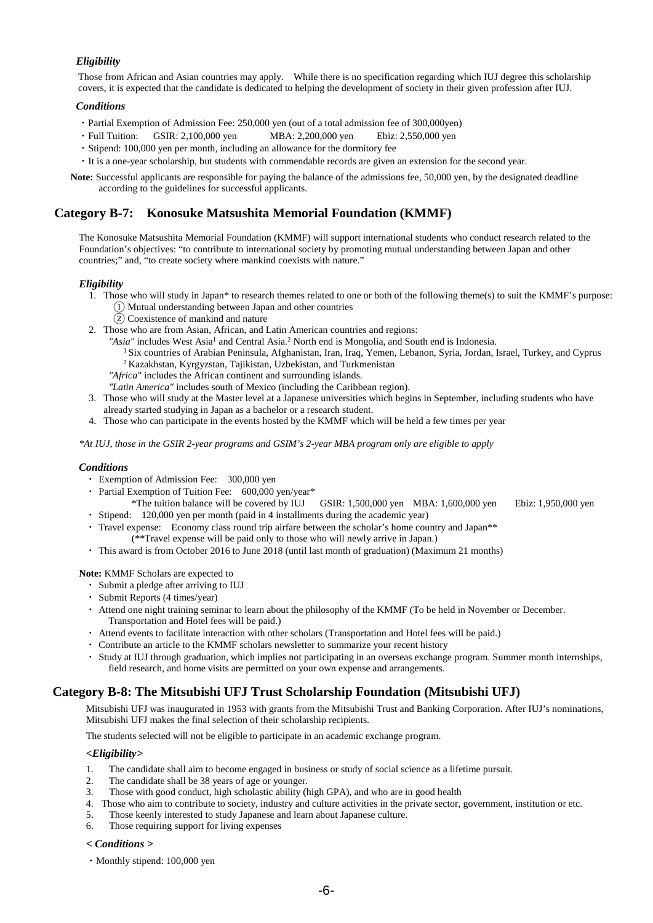#### *Eligibility*

Those from African and Asian countries may apply. While there is no specification regarding which IUJ degree this scholarship covers, it is expected that the candidate is dedicated to helping the development of society in their given profession after IUJ.

#### *Conditions*

- ・Partial Exemption of Admission Fee: 250,000 yen (out of a total admission fee of 300,000yen)
- ・Full Tuition: GSIR: 2,100,000 yen MBA: 2,200,000 yen Ebiz: 2,550,000 yen
- ・Stipend: 100,000 yen per month, including an allowance for the dormitory fee
- ・It is a one-year scholarship, but students with commendable records are given an extension for the second year.

**Note:** Successful applicants are responsible for paying the balance of the admissions fee, 50,000 yen, by the designated deadline according to the guidelines for successful applicants.

### **Category B-7: Konosuke Matsushita Memorial Foundation (KMMF)**

The Konosuke Matsushita Memorial Foundation (KMMF) will support international students who conduct research related to the Foundation's objectives: "to contribute to international society by promoting mutual understanding between Japan and other countries;" and, "to create society where mankind coexists with nature."

#### *Eligibility*

- 1. Those who will study in Japan\* to research themes related to one or both of the following theme(s) to suit the KMMF's purpose: ① Mutual understanding between Japan and other countries
	- $\overline{2}$ ) Coexistence of mankind and nature
- 2. Those who are from Asian, African, and Latin American countries and regions:
	- "Asia" includes West Asia<sup>1</sup> and Central Asia.<sup>2</sup> North end is Mongolia, and South end is Indonesia.
		- <sup>1</sup> Six countries of Arabian Peninsula, Afghanistan, Iran, Iraq, Yemen, Lebanon, Syria, Jordan, Israel, Turkey, and Cyprus 2 Kazakhstan, Kyrgyzstan, Tajikistan, Uzbekistan, and Turkmenistan
	- *"Africa"* includes the African continent and surrounding islands.
	- *"Latin America"* includes south of Mexico (including the Caribbean region).
- 3. Those who will study at the Master level at a Japanese universities which begins in September, including students who have already started studying in Japan as a bachelor or a research student.
- 4. Those who can participate in the events hosted by the KMMF which will be held a few times per year

*\*At IUJ, those in the GSIR 2-year programs and GSIM's 2-year MBA program only are eligible to apply*

#### *Conditions*

- ・ Exemption of Admission Fee: 300,000 yen
- Partial Exemption of Tuition Fee: 600,000 yen/year\*
- \*The tuition balance will be covered by IUJ GSIR: 1,500,000 yen MBA: 1,600,000 yen Ebiz: 1,950,000 yen ・ Stipend: 120,000 yen per month (paid in 4 installments during the academic year)
- 
- ・ Travel expense: Economy class round trip airfare between the scholar's home country and Japan\*\* (\*\*Travel expense will be paid only to those who will newly arrive in Japan.)
- ・ This award is from October 2016 to June 2018 (until last month of graduation) (Maximum 21 months)

**Note:** KMMF Scholars are expected to

- ・ Submit a pledge after arriving to IUJ
- ・ Submit Reports (4 times/year)
- ・ Attend one night training seminar to learn about the philosophy of the KMMF (To be held in November or December. Transportation and Hotel fees will be paid.)
- ・ Attend events to facilitate interaction with other scholars (Transportation and Hotel fees will be paid.)
- ・ Contribute an article to the KMMF scholars newsletter to summarize your recent history
- ・ Study at IUJ through graduation, which implies not participating in an overseas exchange program. Summer month internships, field research, and home visits are permitted on your own expense and arrangements.

### **Category B-8: The Mitsubishi UFJ Trust Scholarship Foundation (Mitsubishi UFJ)**

Mitsubishi UFJ was inaugurated in 1953 with grants from the Mitsubishi Trust and Banking Corporation. After IUJ's nominations, Mitsubishi UFJ makes the final selection of their scholarship recipients.

The students selected will not be eligible to participate in an academic exchange program.

#### *<Eligibility>*

- 1. The candidate shall aim to become engaged in business or study of social science as a lifetime pursuit.
- 2. The candidate shall be 38 years of age or younger.
- 3. Those with good conduct, high scholastic ability (high GPA), and who are in good health
- 4. Those who aim to contribute to society, industry and culture activities in the private sector, government, institution or etc.
- 5. Those keenly interested to study Japanese and learn about Japanese culture.
- 6. Those requiring support for living expenses

### *< Conditions >*

・Monthly stipend: 100,000 yen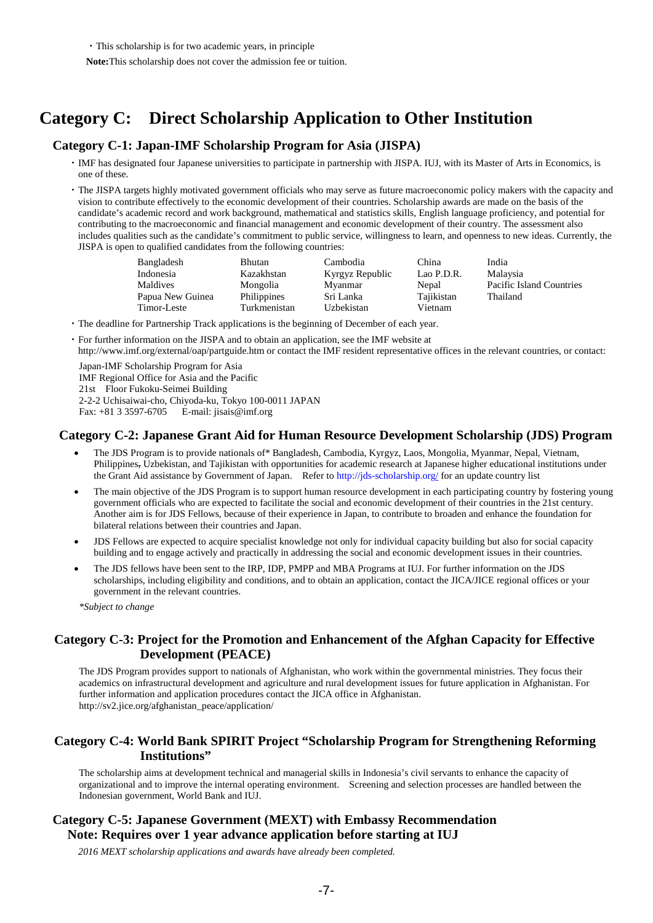・This scholarship is for two academic years, in principle

**Note:**This scholarship does not cover the admission fee or tuition.

## **Category C: Direct Scholarship Application to Other Institution**

### **Category C-1: Japan-IMF Scholarship Program for Asia (JISPA)**

- ・IMF has designated four Japanese universities to participate in partnership with JISPA. IUJ, with its Master of Arts in Economics, is one of these.
- ・The JISPA targets highly motivated government officials who may serve as future macroeconomic policy makers with the capacity and vision to contribute effectively to the economic development of their countries. Scholarship awards are made on the basis of the candidate's academic record and work background, mathematical and statistics skills, English language proficiency, and potential for contributing to the macroeconomic and financial management and economic development of their country. The assessment also includes qualities such as the candidate's commitment to public service, willingness to learn, and openness to new ideas. Currently, the JISPA is open to qualified candidates from the following countries:

| Bangladesh       | Bhutan       | Cambodia        | China      | India                    |
|------------------|--------------|-----------------|------------|--------------------------|
| Indonesia        | Kazakhstan   | Kyrgyz Republic | Lao P.D.R. | Malaysia                 |
| Maldives         | Mongolia     | Myanmar         | Nepal      | Pacific Island Countries |
| Papua New Guinea | Philippines  | Sri Lanka       | Tajikistan | Thailand                 |
| Timor-Leste      | Turkmenistan | Uzbekistan      | Vietnam    |                          |

- ・The deadline for Partnership Track applications is the beginning of December of each year.
- ・For further information on the JISPA and to obtain an application, see the IMF website at

http://www.imf.org/external/oap/partguide.htm or contact the IMF resident representative offices in the relevant countries, or contact:

Japan-IMF Scholarship Program for Asia IMF Regional Office for Asia and the Pacific 21st Floor Fukoku-Seimei Building 2-2-2 Uchisaiwai-cho, Chiyoda-ku, Tokyo 100-0011 JAPAN E-mail: [jisais@imf.org](mailto:jisais@imf.org)

## **Category C-2: Japanese Grant Aid for Human Resource Development Scholarship (JDS) Program**

- The JDS Program is to provide nationals of\* Bangladesh, Cambodia, Kyrgyz, Laos, Mongolia, Myanmar, Nepal, Vietnam, Philippines, Uzbekistan, and Tajikistan with opportunities for academic research at Japanese higher educational institutions under the Grant Aid assistance by Government of Japan. Refer to<http://jds-scholarship.org/> for an update country list
- The main objective of the JDS Program is to support human resource development in each participating country by fostering young government officials who are expected to facilitate the social and economic development of their countries in the 21st century. Another aim is for JDS Fellows, because of their experience in Japan, to contribute to broaden and enhance the foundation for bilateral relations between their countries and Japan.
- JDS Fellows are expected to acquire specialist knowledge not only for individual capacity building but also for social capacity building and to engage actively and practically in addressing the social and economic development issues in their countries.
- The JDS fellows have been sent to the IRP, IDP, PMPP and MBA Programs at IUJ. For further information on the JDS scholarships, including eligibility and conditions, and to obtain an application, contact the JICA/JICE regional offices or your government in the relevant countries.

*\*Subject to change*

## **Category C-3: Project for the Promotion and Enhancement of the Afghan Capacity for Effective Development (PEACE)**

The JDS Program provides support to nationals of Afghanistan, who work within the governmental ministries. They focus their academics on infrastructural development and agriculture and rural development issues for future application in Afghanistan. For further information and application procedures contact the JICA office in Afghanistan. http://sv2.jice.org/afghanistan\_peace/application/

## **Category C-4: World Bank SPIRIT Project "Scholarship Program for Strengthening Reforming Institutions"**

The scholarship aims at development technical and managerial skills in Indonesia's civil servants to enhance the capacity of organizational and to improve the internal operating environment. Screening and selection processes are handled between the Indonesian government, World Bank and IUJ.

## **Category C-5: Japanese Government (MEXT) with Embassy Recommendation Note: Requires over 1 year advance application before starting at IUJ**

*2016 MEXT scholarship applications and awards have already been completed.*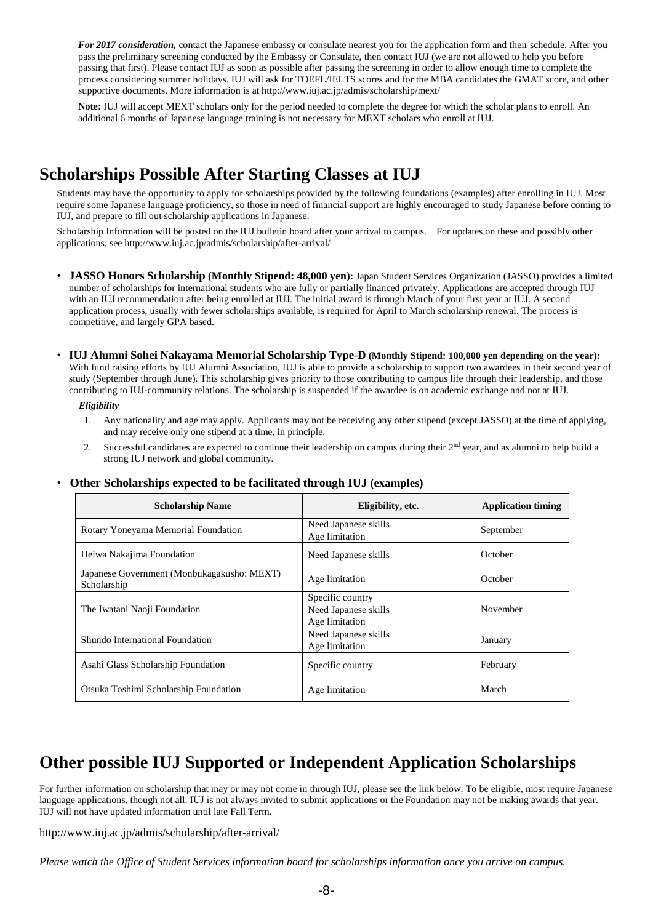*For 2017 consideration,* contact the Japanese embassy or consulate nearest you for the application form and their schedule. After you pass the preliminary screening conducted by the Embassy or Consulate, then contact IUJ (we are not allowed to help you before passing that first). Please contact IUJ as soon as possible after passing the screening in order to allow enough time to complete the process considering summer holidays. IUJ will ask for TOEFL/IELTS scores and for the MBA candidates the GMAT score, and other supportive documents. More information is at http://www.iuj.ac.jp/admis/scholarship/mext/

**Note:** IUJ will accept MEXT scholars only for the period needed to complete the degree for which the scholar plans to enroll. An additional 6 months of Japanese language training is not necessary for MEXT scholars who enroll at IUJ.

## **Scholarships Possible After Starting Classes at IUJ**

Students may have the opportunity to apply for scholarships provided by the following foundations (examples) after enrolling in IUJ. Most require some Japanese language proficiency, so those in need of financial support are highly encouraged to study Japanese before coming to IUJ, and prepare to fill out scholarship applications in Japanese.

Scholarship Information will be posted on the IUJ bulletin board after your arrival to campus. For updates on these and possibly other applications, se[e http://www.iuj.ac.jp/admis/scholarship/after-arrival/](http://www.iuj.ac.jp/admis/scholarship/after-arrival/)

- ・ **JASSO Honors Scholarship (Monthly Stipend: 48,000 yen):** Japan Student Services Organization (JASSO) provides a limited number of scholarships for international students who are fully or partially financed privately. Applications are accepted through IUJ with an IUJ recommendation after being enrolled at IUJ. The initial award is through March of your first year at IUJ. A second application process, usually with fewer scholarships available, is required for April to March scholarship renewal. The process is competitive, and largely GPA based.
- ・ **IUJ Alumni Sohei Nakayama Memorial Scholarship Type-D (Monthly Stipend: 100,000 yen depending on the year):** With fund raising efforts by IUJ Alumni Association, IUJ is able to provide a scholarship to support two awardees in their second year of study (September through June). This scholarship gives priority to those contributing to campus life through their leadership, and those contributing to IUJ-community relations. The scholarship is suspended if the awardee is on academic exchange and not at IUJ.

#### *Eligibility*

- 1. Any nationality and age may apply. Applicants may not be receiving any other stipend (except JASSO) at the time of applying, and may receive only one stipend at a time, in principle.
- 2. Successful candidates are expected to continue their leadership on campus during their 2<sup>nd</sup> year, and as alumni to help build a strong IUJ network and global community.

| <b>Scholarship Name</b>                                   | Eligibility, etc.                                          | <b>Application timing</b> |  |
|-----------------------------------------------------------|------------------------------------------------------------|---------------------------|--|
| Rotary Yoneyama Memorial Foundation                       | Need Japanese skills<br>Age limitation                     | September                 |  |
| Heiwa Nakajima Foundation                                 | Need Japanese skills                                       | October                   |  |
| Japanese Government (Monbukagakusho: MEXT)<br>Scholarship | Age limitation                                             | October                   |  |
| The Iwatani Naoji Foundation                              | Specific country<br>Need Japanese skills<br>Age limitation | November                  |  |
| Shundo International Foundation                           | Need Japanese skills<br>Age limitation                     | January                   |  |
| Asahi Glass Scholarship Foundation                        | Specific country                                           | February                  |  |
| Otsuka Toshimi Scholarship Foundation                     | Age limitation                                             | March                     |  |

#### ・ **Other Scholarships expected to be facilitated through IUJ (examples)**

## **Other possible IUJ Supported or Independent Application Scholarships**

For further information on scholarship that may or may not come in through IUJ, please see the link below. To be eligible, most require Japanese language applications, though not all. IUJ is not always invited to submit applications or the Foundation may not be making awards that year. IUJ will not have updated information until late Fall Term.

<http://www.iuj.ac.jp/admis/scholarship/after-arrival/>

*Please watch the Office of Student Services information board for scholarships information once you arrive on campus.*